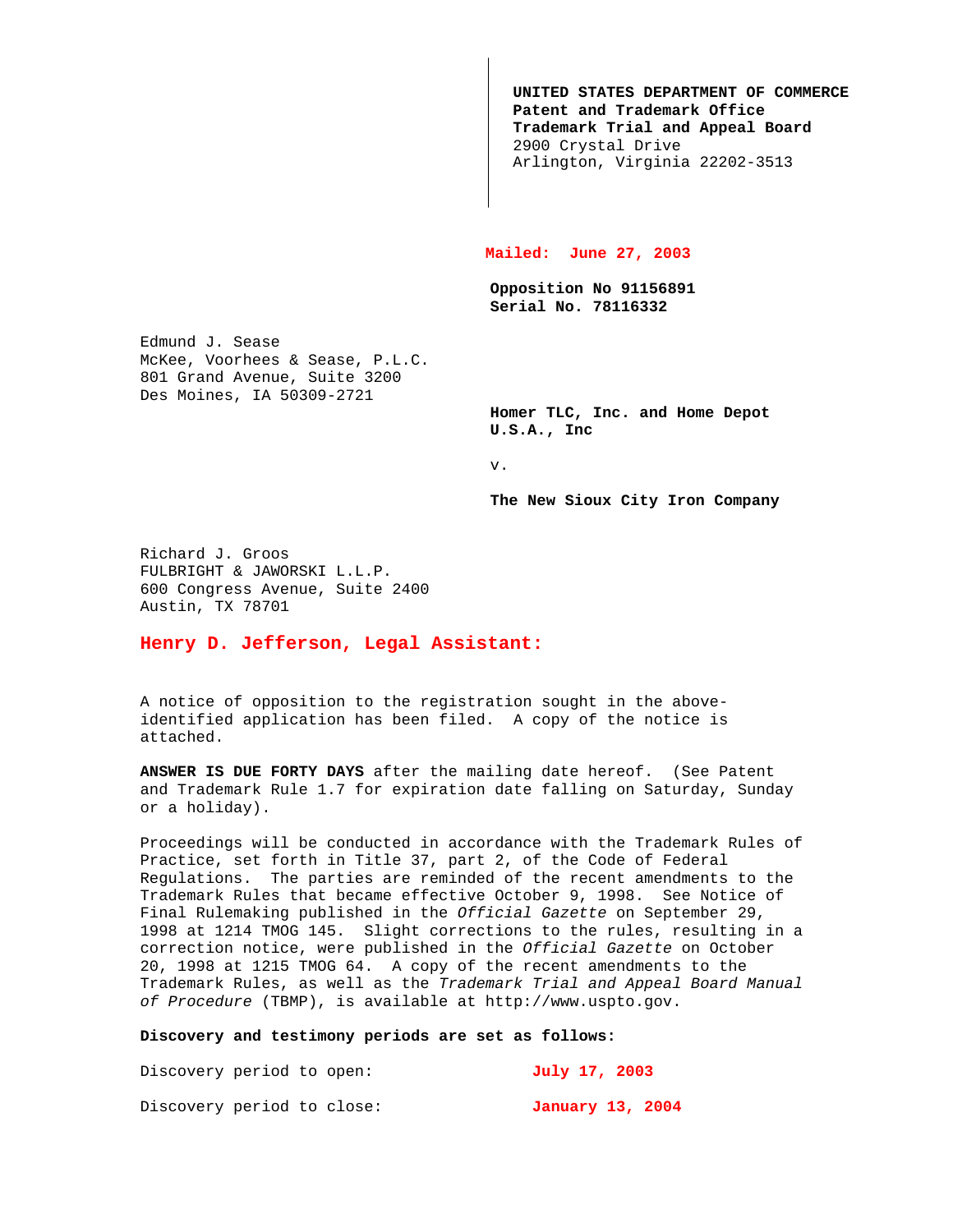**UNITED STATES DEPARTMENT OF COMMERCE Patent and Trademark Office Trademark Trial and Appeal Board** 2900 Crystal Drive Arlington, Virginia 22202-3513

## **Mailed: June 27, 2003**

**Opposition No 91156891 Serial No. 78116332**

Edmund J. Sease McKee, Voorhees & Sease, P.L.C. 801 Grand Avenue, Suite 3200 Des Moines, IA 50309-2721

> **Homer TLC, Inc. and Home Depot U.S.A., Inc**

v.

**The New Sioux City Iron Company**

Richard J. Groos FULBRIGHT & JAWORSKI L.L.P. 600 Congress Avenue, Suite 2400 Austin, TX 78701

## **Henry D. Jefferson, Legal Assistant:**

A notice of opposition to the registration sought in the aboveidentified application has been filed. A copy of the notice is attached.

**ANSWER IS DUE FORTY DAYS** after the mailing date hereof. (See Patent and Trademark Rule 1.7 for expiration date falling on Saturday, Sunday or a holiday).

Proceedings will be conducted in accordance with the Trademark Rules of Practice, set forth in Title 37, part 2, of the Code of Federal Regulations. The parties are reminded of the recent amendments to the Trademark Rules that became effective October 9, 1998. See Notice of Final Rulemaking published in the Official Gazette on September 29, 1998 at 1214 TMOG 145. Slight corrections to the rules, resulting in a correction notice, were published in the Official Gazette on October 20, 1998 at 1215 TMOG 64. A copy of the recent amendments to the Trademark Rules, as well as the Trademark Trial and Appeal Board Manual of Procedure (TBMP), is available at http://www.uspto.gov.

## **Discovery and testimony periods are set as follows:**

Discovery period to open: **July 17, 2003** Discovery period to close: **January 13, 2004**